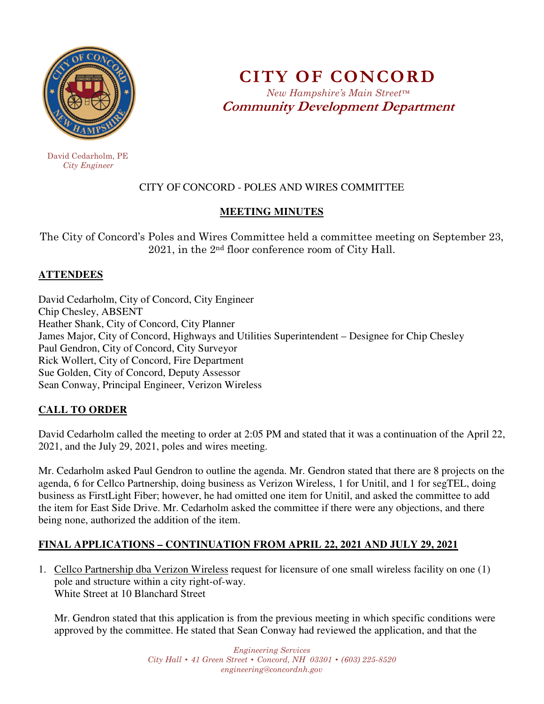

 David Cedarholm, PE  *City Engineer* 

# **CITY OF CONCORD**  *New Hampshire's Main Street™* **Community Development Department**

# CITY OF CONCORD - POLES AND WIRES COMMITTEE

# **MEETING MINUTES**

The City of Concord's Poles and Wires Committee held a committee meeting on September 23, 2021, in the 2nd floor conference room of City Hall.

#### **ATTENDEES**

David Cedarholm, City of Concord, City Engineer Chip Chesley, ABSENT Heather Shank, City of Concord, City Planner James Major, City of Concord, Highways and Utilities Superintendent – Designee for Chip Chesley Paul Gendron, City of Concord, City Surveyor Rick Wollert, City of Concord, Fire Department Sue Golden, City of Concord, Deputy Assessor Sean Conway, Principal Engineer, Verizon Wireless

# **CALL TO ORDER**

David Cedarholm called the meeting to order at 2:05 PM and stated that it was a continuation of the April 22, 2021, and the July 29, 2021, poles and wires meeting.

Mr. Cedarholm asked Paul Gendron to outline the agenda. Mr. Gendron stated that there are 8 projects on the agenda, 6 for Cellco Partnership, doing business as Verizon Wireless, 1 for Unitil, and 1 for segTEL, doing business as FirstLight Fiber; however, he had omitted one item for Unitil, and asked the committee to add the item for East Side Drive. Mr. Cedarholm asked the committee if there were any objections, and there being none, authorized the addition of the item.

# **FINAL APPLICATIONS – CONTINUATION FROM APRIL 22, 2021 AND JULY 29, 2021**

1. Cellco Partnership dba Verizon Wireless request for licensure of one small wireless facility on one (1) pole and structure within a city right-of-way. White Street at 10 Blanchard Street

Mr. Gendron stated that this application is from the previous meeting in which specific conditions were approved by the committee. He stated that Sean Conway had reviewed the application, and that the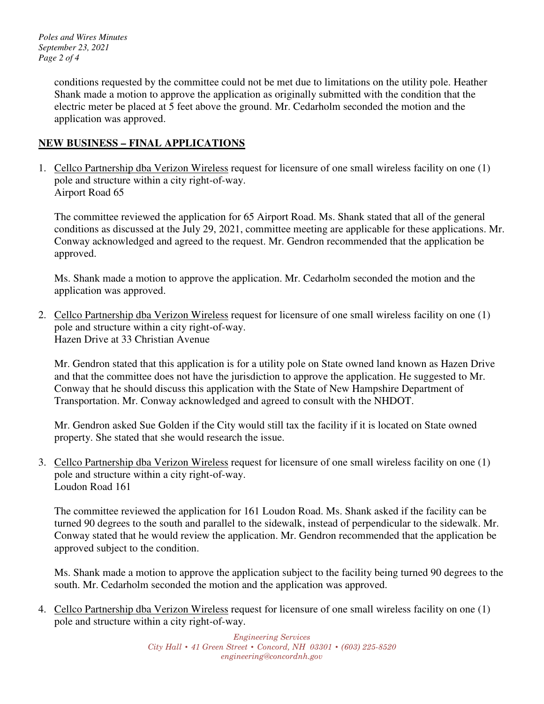*Poles and Wires Minutes September 23, 2021 Page 2 of 4* 

> conditions requested by the committee could not be met due to limitations on the utility pole. Heather Shank made a motion to approve the application as originally submitted with the condition that the electric meter be placed at 5 feet above the ground. Mr. Cedarholm seconded the motion and the application was approved.

#### **NEW BUSINESS – FINAL APPLICATIONS**

1. Cellco Partnership dba Verizon Wireless request for licensure of one small wireless facility on one (1) pole and structure within a city right-of-way. Airport Road 65

The committee reviewed the application for 65 Airport Road. Ms. Shank stated that all of the general conditions as discussed at the July 29, 2021, committee meeting are applicable for these applications. Mr. Conway acknowledged and agreed to the request. Mr. Gendron recommended that the application be approved.

Ms. Shank made a motion to approve the application. Mr. Cedarholm seconded the motion and the application was approved.

2. Cellco Partnership dba Verizon Wireless request for licensure of one small wireless facility on one (1) pole and structure within a city right-of-way. Hazen Drive at 33 Christian Avenue

Mr. Gendron stated that this application is for a utility pole on State owned land known as Hazen Drive and that the committee does not have the jurisdiction to approve the application. He suggested to Mr. Conway that he should discuss this application with the State of New Hampshire Department of Transportation. Mr. Conway acknowledged and agreed to consult with the NHDOT.

Mr. Gendron asked Sue Golden if the City would still tax the facility if it is located on State owned property. She stated that she would research the issue.

3. Cellco Partnership dba Verizon Wireless request for licensure of one small wireless facility on one (1) pole and structure within a city right-of-way. Loudon Road 161

The committee reviewed the application for 161 Loudon Road. Ms. Shank asked if the facility can be turned 90 degrees to the south and parallel to the sidewalk, instead of perpendicular to the sidewalk. Mr. Conway stated that he would review the application. Mr. Gendron recommended that the application be approved subject to the condition.

Ms. Shank made a motion to approve the application subject to the facility being turned 90 degrees to the south. Mr. Cedarholm seconded the motion and the application was approved.

4. Cellco Partnership dba Verizon Wireless request for licensure of one small wireless facility on one (1) pole and structure within a city right-of-way.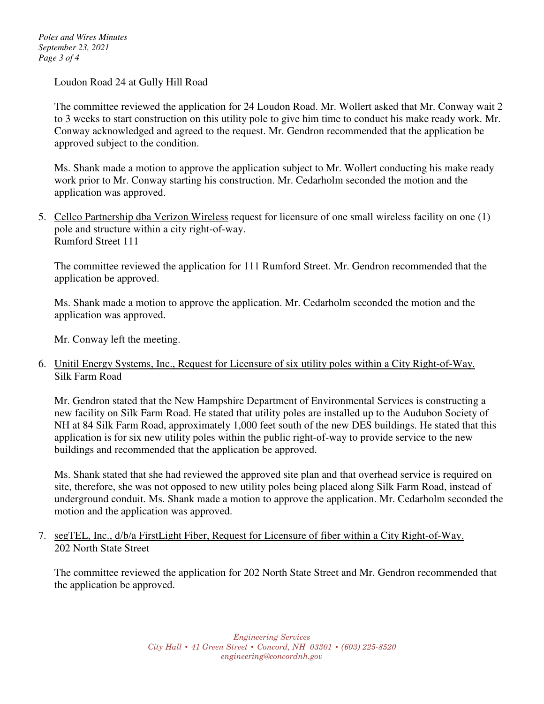*Poles and Wires Minutes September 23, 2021 Page 3 of 4* 

Loudon Road 24 at Gully Hill Road

The committee reviewed the application for 24 Loudon Road. Mr. Wollert asked that Mr. Conway wait 2 to 3 weeks to start construction on this utility pole to give him time to conduct his make ready work. Mr. Conway acknowledged and agreed to the request. Mr. Gendron recommended that the application be approved subject to the condition.

Ms. Shank made a motion to approve the application subject to Mr. Wollert conducting his make ready work prior to Mr. Conway starting his construction. Mr. Cedarholm seconded the motion and the application was approved.

5. Cellco Partnership dba Verizon Wireless request for licensure of one small wireless facility on one (1) pole and structure within a city right-of-way. Rumford Street 111

The committee reviewed the application for 111 Rumford Street. Mr. Gendron recommended that the application be approved.

Ms. Shank made a motion to approve the application. Mr. Cedarholm seconded the motion and the application was approved.

Mr. Conway left the meeting.

6. Unitil Energy Systems, Inc., Request for Licensure of six utility poles within a City Right-of-Way. Silk Farm Road

Mr. Gendron stated that the New Hampshire Department of Environmental Services is constructing a new facility on Silk Farm Road. He stated that utility poles are installed up to the Audubon Society of NH at 84 Silk Farm Road, approximately 1,000 feet south of the new DES buildings. He stated that this application is for six new utility poles within the public right-of-way to provide service to the new buildings and recommended that the application be approved.

Ms. Shank stated that she had reviewed the approved site plan and that overhead service is required on site, therefore, she was not opposed to new utility poles being placed along Silk Farm Road, instead of underground conduit. Ms. Shank made a motion to approve the application. Mr. Cedarholm seconded the motion and the application was approved.

7. segTEL, Inc., d/b/a FirstLight Fiber, Request for Licensure of fiber within a City Right-of-Way. 202 North State Street

The committee reviewed the application for 202 North State Street and Mr. Gendron recommended that the application be approved.